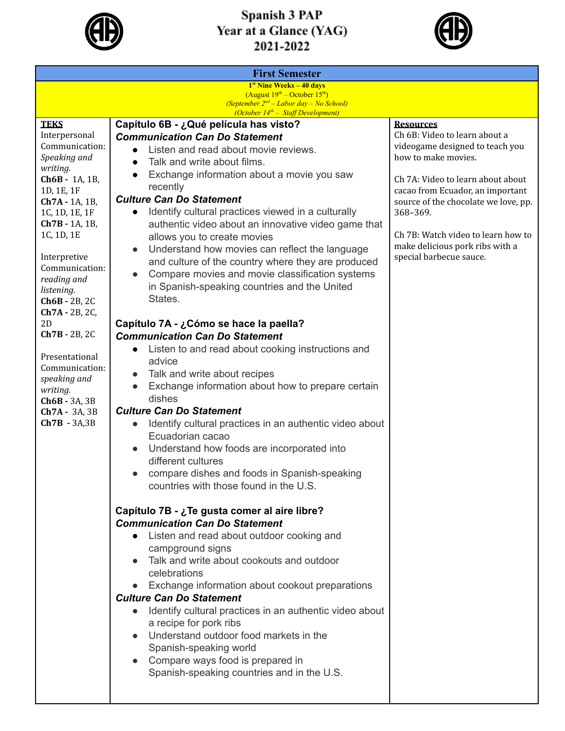



| <b>First Semester</b>                                                                   |                                                                                                       |                                                        |  |  |
|-----------------------------------------------------------------------------------------|-------------------------------------------------------------------------------------------------------|--------------------------------------------------------|--|--|
| $1st$ Nine Weeks $-40$ days                                                             |                                                                                                       |                                                        |  |  |
| (August $19^{th}$ – October $15^{th}$ )<br>(September $2^{nd}$ – Labor day – No School) |                                                                                                       |                                                        |  |  |
| (October 14 <sup>th</sup> - Staff Development)                                          |                                                                                                       |                                                        |  |  |
| <b>TEKS</b>                                                                             | Capítulo 6B - ¿Qué película has visto?                                                                | <b>Resources</b>                                       |  |  |
| Interpersonal                                                                           | <b>Communication Can Do Statement</b>                                                                 | Ch 6B: Video to learn about a                          |  |  |
| Communication:<br>Speaking and                                                          | Listen and read about movie reviews.                                                                  | videogame designed to teach you<br>how to make movies. |  |  |
| writing.                                                                                | Talk and write about films.<br>$\bullet$                                                              |                                                        |  |  |
| Ch6B - 1A, 1B,                                                                          | Exchange information about a movie you saw                                                            | Ch 7A: Video to learn about about                      |  |  |
| 1D, 1E, 1F                                                                              | recently                                                                                              | cacao from Ecuador, an important                       |  |  |
| Ch7A - 1A, 1B,                                                                          | <b>Culture Can Do Statement</b>                                                                       | source of the chocolate we love, pp.                   |  |  |
| 1C, 1D, 1E, 1F                                                                          | Identify cultural practices viewed in a culturally<br>$\bullet$                                       | 368-369.                                               |  |  |
| Ch7B - 1A, 1B,<br>1C, 1D, 1E                                                            | authentic video about an innovative video game that                                                   | Ch 7B: Watch video to learn how to                     |  |  |
|                                                                                         | allows you to create movies                                                                           | make delicious pork ribs with a                        |  |  |
| Interpretive                                                                            | Understand how movies can reflect the language<br>$\bullet$                                           | special barbecue sauce.                                |  |  |
| Communication:                                                                          | and culture of the country where they are produced<br>Compare movies and movie classification systems |                                                        |  |  |
| reading and                                                                             | in Spanish-speaking countries and the United                                                          |                                                        |  |  |
| listening.                                                                              | States.                                                                                               |                                                        |  |  |
| Ch6B - 2B, 2C<br>Ch7A - 2B, 2C,                                                         |                                                                                                       |                                                        |  |  |
| 2D                                                                                      | Capítulo 7A - ¿Cómo se hace la paella?                                                                |                                                        |  |  |
| $Ch7B - 2B$ , 2C                                                                        | <b>Communication Can Do Statement</b>                                                                 |                                                        |  |  |
|                                                                                         | Listen to and read about cooking instructions and                                                     |                                                        |  |  |
| Presentational                                                                          | advice                                                                                                |                                                        |  |  |
| Communication:                                                                          | Talk and write about recipes                                                                          |                                                        |  |  |
| speaking and<br>writing.                                                                | Exchange information about how to prepare certain                                                     |                                                        |  |  |
| $Ch6B - 3A, 3B$                                                                         | dishes                                                                                                |                                                        |  |  |
| Ch7A - 3A, 3B                                                                           | <b>Culture Can Do Statement</b>                                                                       |                                                        |  |  |
| $Ch7B - 3A, 3B$                                                                         | Identify cultural practices in an authentic video about                                               |                                                        |  |  |
|                                                                                         | Ecuadorian cacao                                                                                      |                                                        |  |  |
|                                                                                         | Understand how foods are incorporated into                                                            |                                                        |  |  |
|                                                                                         | different cultures                                                                                    |                                                        |  |  |
|                                                                                         | compare dishes and foods in Spanish-speaking                                                          |                                                        |  |  |
|                                                                                         | countries with those found in the U.S.                                                                |                                                        |  |  |
|                                                                                         |                                                                                                       |                                                        |  |  |
|                                                                                         | Capítulo 7B - ¿Te gusta comer al aire libre?                                                          |                                                        |  |  |
|                                                                                         | <b>Communication Can Do Statement</b>                                                                 |                                                        |  |  |
|                                                                                         | Listen and read about outdoor cooking and                                                             |                                                        |  |  |
|                                                                                         | campground signs<br>Talk and write about cookouts and outdoor                                         |                                                        |  |  |
|                                                                                         | celebrations                                                                                          |                                                        |  |  |
|                                                                                         | Exchange information about cookout preparations                                                       |                                                        |  |  |
|                                                                                         | <b>Culture Can Do Statement</b>                                                                       |                                                        |  |  |
|                                                                                         | Identify cultural practices in an authentic video about                                               |                                                        |  |  |
|                                                                                         | a recipe for pork ribs                                                                                |                                                        |  |  |
|                                                                                         | Understand outdoor food markets in the                                                                |                                                        |  |  |
|                                                                                         | Spanish-speaking world                                                                                |                                                        |  |  |
|                                                                                         | Compare ways food is prepared in                                                                      |                                                        |  |  |
|                                                                                         | Spanish-speaking countries and in the U.S.                                                            |                                                        |  |  |
|                                                                                         |                                                                                                       |                                                        |  |  |
|                                                                                         |                                                                                                       |                                                        |  |  |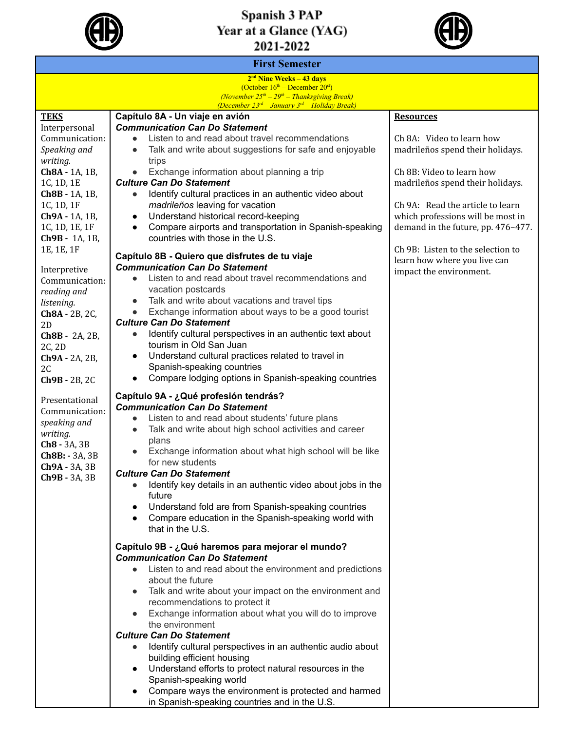



| <b>First Semester</b>                                                                                                                                                                                                                                                                                                                   |                                                                                                                                                                                                                                                                                                                                                                                                                                                                                                                                                                                                                                                                                 |                                                                                                                                                                              |  |  |
|-----------------------------------------------------------------------------------------------------------------------------------------------------------------------------------------------------------------------------------------------------------------------------------------------------------------------------------------|---------------------------------------------------------------------------------------------------------------------------------------------------------------------------------------------------------------------------------------------------------------------------------------------------------------------------------------------------------------------------------------------------------------------------------------------------------------------------------------------------------------------------------------------------------------------------------------------------------------------------------------------------------------------------------|------------------------------------------------------------------------------------------------------------------------------------------------------------------------------|--|--|
| $2nd$ Nine Weeks – 43 days<br>(October $16th$ – December $20st$ )<br>(November $25^{th} - 29^{th} -$ Thanksgiving Break)<br>(December $23^{rd}$ - January $3^{rd}$ - Holiday Break)                                                                                                                                                     |                                                                                                                                                                                                                                                                                                                                                                                                                                                                                                                                                                                                                                                                                 |                                                                                                                                                                              |  |  |
| <b>TEKS</b>                                                                                                                                                                                                                                                                                                                             | Capítulo 8A - Un viaje en avión                                                                                                                                                                                                                                                                                                                                                                                                                                                                                                                                                                                                                                                 | <b>Resources</b>                                                                                                                                                             |  |  |
| Interpersonal<br>Communication:<br>Speaking and<br>$\bullet$<br>writing.<br>trips<br>Ch8A - 1A, 1B,<br>$\bullet$<br>1C, 1D, 1E<br>Ch8B - 1A, 1B,<br>$\bullet$<br>1C, 1D, 1F<br>Ch9A - 1A, 1B,<br>$\bullet$<br>1C, 1D, 1E, 1F<br>$\bullet$<br>Ch9B - 1A, 1B,<br>1E, 1E, 1F<br>Interpretive<br>$\bullet$<br>Communication:<br>reading and | <b>Communication Can Do Statement</b><br>Listen to and read about travel recommendations<br>Talk and write about suggestions for safe and enjoyable                                                                                                                                                                                                                                                                                                                                                                                                                                                                                                                             | Ch 8A: Video to learn how<br>madrileños spend their holidays.                                                                                                                |  |  |
|                                                                                                                                                                                                                                                                                                                                         | Exchange information about planning a trip<br><b>Culture Can Do Statement</b><br>Identify cultural practices in an authentic video about<br>madrileños leaving for vacation<br>Understand historical record-keeping<br>Compare airports and transportation in Spanish-speaking                                                                                                                                                                                                                                                                                                                                                                                                  | Ch 8B: Video to learn how<br>madrileños spend their holidays.<br>Ch 9A: Read the article to learn<br>which professions will be most in<br>demand in the future, pp. 476-477. |  |  |
|                                                                                                                                                                                                                                                                                                                                         | countries with those in the U.S.<br>Capítulo 8B - Quiero que disfrutes de tu viaje<br><b>Communication Can Do Statement</b><br>Listen to and read about travel recommendations and<br>vacation postcards                                                                                                                                                                                                                                                                                                                                                                                                                                                                        | Ch 9B: Listen to the selection to<br>learn how where you live can<br>impact the environment.                                                                                 |  |  |
| listening.<br>Ch8A - 2B, 2C,<br>2D<br><b>Ch8B</b> - 2A, 2B,<br>2C, 2D<br>Ch9A - 2A, 2B,<br>2C<br>Ch9B - 2B, 2C                                                                                                                                                                                                                          | Talk and write about vacations and travel tips<br>$\bullet$<br>Exchange information about ways to be a good tourist<br>$\bullet$<br><b>Culture Can Do Statement</b><br>Identify cultural perspectives in an authentic text about<br>tourism in Old San Juan<br>Understand cultural practices related to travel in<br>$\bullet$<br>Spanish-speaking countries<br>Compare lodging options in Spanish-speaking countries<br>$\bullet$                                                                                                                                                                                                                                              |                                                                                                                                                                              |  |  |
| Presentational<br>Communication:<br>speaking and<br>writing.<br>Ch <sub>8</sub> - 3A, 3B<br>Ch8B: - 3A, 3B<br>Ch9A - 3A, 3B<br>Ch9B - 3A, 3B                                                                                                                                                                                            | Capítulo 9A - ¿Qué profesión tendrás?<br><b>Communication Can Do Statement</b><br>Listen to and read about students' future plans<br>$\bullet$<br>Talk and write about high school activities and career<br>$\bullet$<br>plans<br>Exchange information about what high school will be like<br>for new students<br><b>Culture Can Do Statement</b><br>Identify key details in an authentic video about jobs in the<br>future<br>Understand fold are from Spanish-speaking countries<br>Compare education in the Spanish-speaking world with<br>that in the U.S.                                                                                                                  |                                                                                                                                                                              |  |  |
|                                                                                                                                                                                                                                                                                                                                         | Capítulo 9B - ¿Qué haremos para mejorar el mundo?<br><b>Communication Can Do Statement</b><br>Listen to and read about the environment and predictions<br>about the future<br>Talk and write about your impact on the environment and<br>recommendations to protect it<br>Exchange information about what you will do to improve<br>the environment<br><b>Culture Can Do Statement</b><br>Identify cultural perspectives in an authentic audio about<br>building efficient housing<br>Understand efforts to protect natural resources in the<br>Spanish-speaking world<br>Compare ways the environment is protected and harmed<br>in Spanish-speaking countries and in the U.S. |                                                                                                                                                                              |  |  |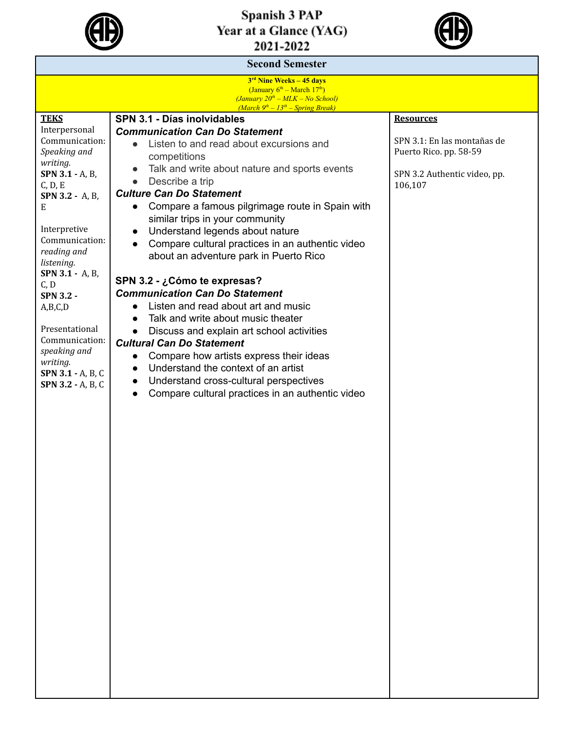



| <b>Second Semester</b>                                                                    |                                                                                                          |                                         |  |  |
|-------------------------------------------------------------------------------------------|----------------------------------------------------------------------------------------------------------|-----------------------------------------|--|--|
| 3 <sup>rd</sup> Nine Weeks - 45 days                                                      |                                                                                                          |                                         |  |  |
| (January $6^{\text{th}}$ – March 17 <sup>th</sup> )<br>$(January 20th - MLK - No School)$ |                                                                                                          |                                         |  |  |
|                                                                                           | $(March 9th - 13th - Spring Break)$                                                                      |                                         |  |  |
| <b>TEKS</b><br>Interpersonal                                                              | SPN 3.1 - Días inolvidables<br><b>Communication Can Do Statement</b>                                     | <b>Resources</b>                        |  |  |
| Communication:                                                                            | Listen to and read about excursions and                                                                  | SPN 3.1: En las montañas de             |  |  |
| Speaking and                                                                              | competitions                                                                                             | Puerto Rico. pp. 58-59                  |  |  |
| writing.                                                                                  | Talk and write about nature and sports events<br>$\bullet$                                               |                                         |  |  |
| SPN 3.1 - A, B,<br>C, D, E                                                                | Describe a trip<br>$\bullet$                                                                             | SPN 3.2 Authentic video, pp.<br>106,107 |  |  |
| SPN 3.2 - A, B,                                                                           | <b>Culture Can Do Statement</b>                                                                          |                                         |  |  |
| Е                                                                                         | Compare a famous pilgrimage route in Spain with<br>$\bullet$                                             |                                         |  |  |
|                                                                                           | similar trips in your community                                                                          |                                         |  |  |
| Interpretive<br>Communication:                                                            | Understand legends about nature<br>$\bullet$                                                             |                                         |  |  |
| reading and                                                                               | Compare cultural practices in an authentic video                                                         |                                         |  |  |
| listening.                                                                                | about an adventure park in Puerto Rico                                                                   |                                         |  |  |
| <b>SPN 3.1 - A, B,</b>                                                                    | SPN 3.2 - ¿Cómo te expresas?                                                                             |                                         |  |  |
| C, D<br><b>SPN 3.2 -</b>                                                                  | <b>Communication Can Do Statement</b>                                                                    |                                         |  |  |
| A,B,C,D                                                                                   | Listen and read about art and music                                                                      |                                         |  |  |
|                                                                                           | Talk and write about music theater                                                                       |                                         |  |  |
| Presentational<br>Communication:                                                          | Discuss and explain art school activities                                                                |                                         |  |  |
| speaking and                                                                              | <b>Cultural Can Do Statement</b>                                                                         |                                         |  |  |
| writing.                                                                                  | Compare how artists express their ideas<br>$\bullet$<br>Understand the context of an artist<br>$\bullet$ |                                         |  |  |
| SPN 3.1 - A, B, C                                                                         | Understand cross-cultural perspectives<br>$\bullet$                                                      |                                         |  |  |
| SPN 3.2 - A, B, C                                                                         | Compare cultural practices in an authentic video<br>$\bullet$                                            |                                         |  |  |
|                                                                                           |                                                                                                          |                                         |  |  |
|                                                                                           |                                                                                                          |                                         |  |  |
|                                                                                           |                                                                                                          |                                         |  |  |
|                                                                                           |                                                                                                          |                                         |  |  |
|                                                                                           |                                                                                                          |                                         |  |  |
|                                                                                           |                                                                                                          |                                         |  |  |
|                                                                                           |                                                                                                          |                                         |  |  |
|                                                                                           |                                                                                                          |                                         |  |  |
|                                                                                           |                                                                                                          |                                         |  |  |
|                                                                                           |                                                                                                          |                                         |  |  |
|                                                                                           |                                                                                                          |                                         |  |  |
|                                                                                           |                                                                                                          |                                         |  |  |
|                                                                                           |                                                                                                          |                                         |  |  |
|                                                                                           |                                                                                                          |                                         |  |  |
|                                                                                           |                                                                                                          |                                         |  |  |
|                                                                                           |                                                                                                          |                                         |  |  |
|                                                                                           |                                                                                                          |                                         |  |  |
|                                                                                           |                                                                                                          |                                         |  |  |
|                                                                                           |                                                                                                          |                                         |  |  |
|                                                                                           |                                                                                                          |                                         |  |  |
|                                                                                           |                                                                                                          |                                         |  |  |
|                                                                                           |                                                                                                          |                                         |  |  |